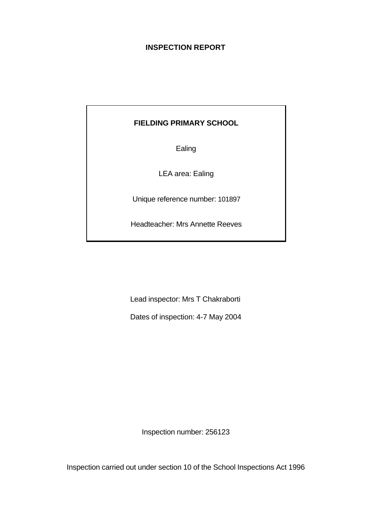# **INSPECTION REPORT**

# **FIELDING PRIMARY SCHOOL**

Ealing

LEA area: Ealing

Unique reference number: 101897

Headteacher: Mrs Annette Reeves

Lead inspector: Mrs T Chakraborti

Dates of inspection: 4-7 May 2004

Inspection number: 256123

Inspection carried out under section 10 of the School Inspections Act 1996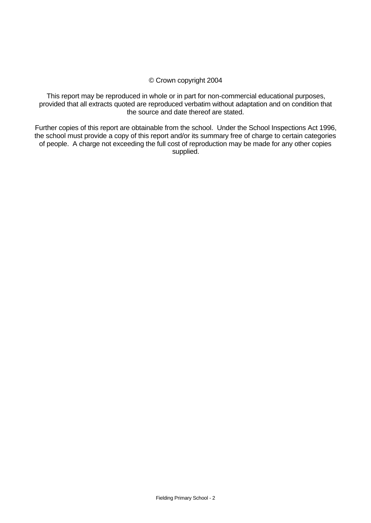#### © Crown copyright 2004

This report may be reproduced in whole or in part for non-commercial educational purposes, provided that all extracts quoted are reproduced verbatim without adaptation and on condition that the source and date thereof are stated.

Further copies of this report are obtainable from the school. Under the School Inspections Act 1996, the school must provide a copy of this report and/or its summary free of charge to certain categories of people. A charge not exceeding the full cost of reproduction may be made for any other copies supplied.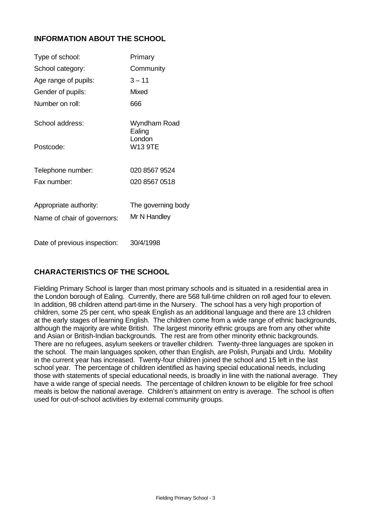# **INFORMATION ABOUT THE SCHOOL**

| Type of school:              | Primary                  |
|------------------------------|--------------------------|
| School category:             | Community                |
| Age range of pupils:         | $3 - 11$                 |
| Gender of pupils:            | Mixed                    |
| Number on roll:              | 666                      |
| School address:              | Wyndham Road<br>Ealing   |
| Postcode:                    | London<br><b>W13 9TE</b> |
| Telephone number:            | 020 8567 9524            |
| Fax number:                  | 020 8567 0518            |
| Appropriate authority:       | The governing body       |
| Name of chair of governors:  | Mr N Handley             |
| Date of previous inspection: | 30/4/1998                |

# **CHARACTERISTICS OF THE SCHOOL**

Fielding Primary School is larger than most primary schools and is situated in a residential area in the London borough of Ealing. Currently, there are 568 full-time children on roll aged four to eleven. In addition, 98 children attend part-time in the Nursery. The school has a very high proportion of children, some 25 per cent, who speak English as an additional language and there are 13 children at the early stages of learning English. The children come from a wide range of ethnic backgrounds, although the majority are white British. The largest minority ethnic groups are from any other white and Asian or British-Indian backgrounds. The rest are from other minority ethnic backgrounds. There are no refugees, asylum seekers or traveller children. Twenty-three languages are spoken in the school. The main languages spoken, other than English, are Polish, Punjabi and Urdu. Mobility in the current year has increased. Twenty-four children joined the school and 15 left in the last school year. The percentage of children identified as having special educational needs, including those with statements of special educational needs, is broadly in line with the national average. They have a wide range of special needs. The percentage of children known to be eligible for free school meals is below the national average. Children's attainment on entry is average. The school is often used for out-of-school activities by external community groups.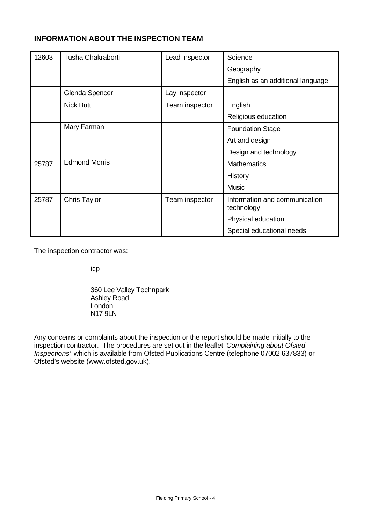# **INFORMATION ABOUT THE INSPECTION TEAM**

| 12603 | Tusha Chakraborti    | Lead inspector | Science                                     |
|-------|----------------------|----------------|---------------------------------------------|
|       |                      |                | Geography                                   |
|       |                      |                | English as an additional language           |
|       | Glenda Spencer       | Lay inspector  |                                             |
|       | <b>Nick Butt</b>     | Team inspector | English                                     |
|       |                      |                | Religious education                         |
|       | Mary Farman          |                | <b>Foundation Stage</b>                     |
|       |                      |                | Art and design                              |
|       |                      |                | Design and technology                       |
| 25787 | <b>Edmond Morris</b> |                | <b>Mathematics</b>                          |
|       |                      |                | History                                     |
|       |                      |                | <b>Music</b>                                |
| 25787 | <b>Chris Taylor</b>  | Team inspector | Information and communication<br>technology |
|       |                      |                | Physical education                          |
|       |                      |                | Special educational needs                   |

The inspection contractor was:

icp

360 Lee Valley Technpark Ashley Road London N17 9LN

Any concerns or complaints about the inspection or the report should be made initially to the inspection contractor. The procedures are set out in the leaflet *'Complaining about Ofsted Inspections'*, which is available from Ofsted Publications Centre (telephone 07002 637833) or Ofsted's website (www.ofsted.gov.uk).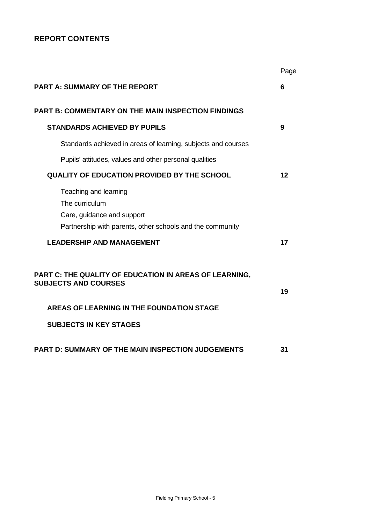# **REPORT CONTENTS**

|                                                                                                                                    | Page |
|------------------------------------------------------------------------------------------------------------------------------------|------|
| <b>PART A: SUMMARY OF THE REPORT</b>                                                                                               | 6    |
| <b>PART B: COMMENTARY ON THE MAIN INSPECTION FINDINGS</b>                                                                          |      |
| <b>STANDARDS ACHIEVED BY PUPILS</b>                                                                                                | 9    |
| Standards achieved in areas of learning, subjects and courses                                                                      |      |
| Pupils' attitudes, values and other personal qualities                                                                             |      |
| <b>QUALITY OF EDUCATION PROVIDED BY THE SCHOOL</b>                                                                                 | 12   |
| Teaching and learning<br>The curriculum<br>Care, guidance and support<br>Partnership with parents, other schools and the community |      |
| <b>LEADERSHIP AND MANAGEMENT</b>                                                                                                   | 17   |
| PART C: THE QUALITY OF EDUCATION IN AREAS OF LEARNING,<br><b>SUBJECTS AND COURSES</b>                                              | 19   |
| AREAS OF LEARNING IN THE FOUNDATION STAGE                                                                                          |      |
| <b>SUBJECTS IN KEY STAGES</b>                                                                                                      |      |
| <b>PART D: SUMMARY OF THE MAIN INSPECTION JUDGEMENTS</b>                                                                           | 31   |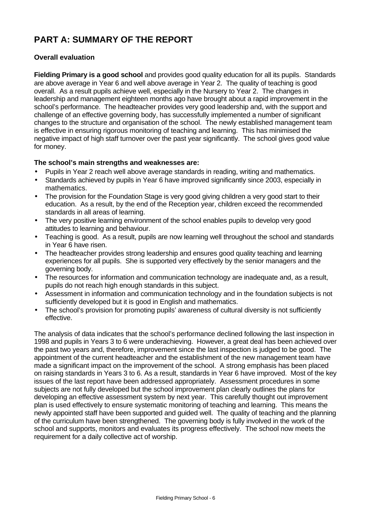# **PART A: SUMMARY OF THE REPORT**

# **Overall evaluation**

**Fielding Primary is a good school** and provides good quality education for all its pupils. Standards are above average in Year 6 and well above average in Year 2. The quality of teaching is good overall. As a result pupils achieve well, especially in the Nursery to Year 2. The changes in leadership and management eighteen months ago have brought about a rapid improvement in the school's performance. The headteacher provides very good leadership and, with the support and challenge of an effective governing body, has successfully implemented a number of significant changes to the structure and organisation of the school. The newly established management team is effective in ensuring rigorous monitoring of teaching and learning. This has minimised the negative impact of high staff turnover over the past year significantly. The school gives good value for money.

#### **The school's main strengths and weaknesses are:**

- Pupils in Year 2 reach well above average standards in reading, writing and mathematics.
- Standards achieved by pupils in Year 6 have improved significantly since 2003, especially in mathematics.
- The provision for the Foundation Stage is very good giving children a very good start to their education. As a result, by the end of the Reception year, children exceed the recommended standards in all areas of learning.
- The very positive learning environment of the school enables pupils to develop very good attitudes to learning and behaviour.
- Teaching is good. As a result, pupils are now learning well throughout the school and standards in Year 6 have risen.
- The headteacher provides strong leadership and ensures good quality teaching and learning experiences for all pupils. She is supported very effectively by the senior managers and the governing body.
- The resources for information and communication technology are inadequate and, as a result, pupils do not reach high enough standards in this subject.
- Assessment in information and communication technology and in the foundation subjects is not sufficiently developed but it is good in English and mathematics.
- The school's provision for promoting pupils' awareness of cultural diversity is not sufficiently effective.

The analysis of data indicates that the school's performance declined following the last inspection in 1998 and pupils in Years 3 to 6 were underachieving. However, a great deal has been achieved over the past two years and, therefore, improvement since the last inspection is judged to be good. The appointment of the current headteacher and the establishment of the new management team have made a significant impact on the improvement of the school. A strong emphasis has been placed on raising standards in Years 3 to 6. As a result, standards in Year 6 have improved. Most of the key issues of the last report have been addressed appropriately. Assessment procedures in some subjects are not fully developed but the school improvement plan clearly outlines the plans for developing an effective assessment system by next year. This carefully thought out improvement plan is used effectively to ensure systematic monitoring of teaching and learning. This means the newly appointed staff have been supported and guided well. The quality of teaching and the planning of the curriculum have been strengthened. The governing body is fully involved in the work of the school and supports, monitors and evaluates its progress effectively. The school now meets the requirement for a daily collective act of worship.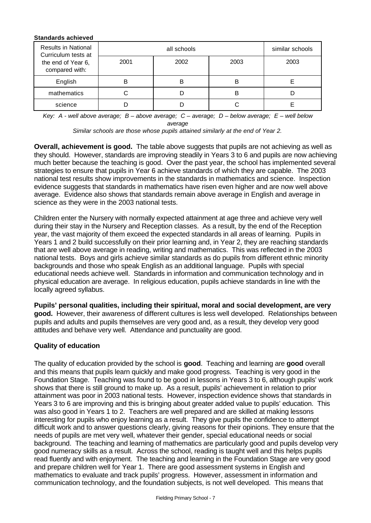| <b>Standards achieved</b>                         |      |                 |      |      |  |  |  |  |
|---------------------------------------------------|------|-----------------|------|------|--|--|--|--|
| <b>Results in National</b><br>Curriculum tests at |      | similar schools |      |      |  |  |  |  |
| the end of Year 6,<br>compared with:              | 2001 | 2002            | 2003 | 2003 |  |  |  |  |
| English                                           | B    | B               | в    |      |  |  |  |  |
| mathematics                                       |      |                 | R    |      |  |  |  |  |
| science                                           |      |                 |      |      |  |  |  |  |

*Key: A - well above average; B – above average; C – average; D – below average; E – well below average*

*Similar schools are those whose pupils attained similarly at the end of Year 2.*

**Overall, achievement is good.** The table above suggests that pupils are not achieving as well as they should. However, standards are improving steadily in Years 3 to 6 and pupils are now achieving much better because the teaching is good. Over the past year, the school has implemented several strategies to ensure that pupils in Year 6 achieve standards of which they are capable. The 2003 national test results show improvements in the standards in mathematics and science. Inspection evidence suggests that standards in mathematics have risen even higher and are now well above average. Evidence also shows that standards remain above average in English and average in science as they were in the 2003 national tests.

Children enter the Nursery with normally expected attainment at age three and achieve very well during their stay in the Nursery and Reception classes. As a result, by the end of the Reception year, the vast majority of them exceed the expected standards in all areas of learning. Pupils in Years 1 and 2 build successfully on their prior learning and, in Year 2, they are reaching standards that are well above average in reading, writing and mathematics. This was reflected in the 2003 national tests. Boys and girls achieve similar standards as do pupils from different ethnic minority backgrounds and those who speak English as an additional language. Pupils with special educational needs achieve well. Standards in information and communication technology and in physical education are average. In religious education, pupils achieve standards in line with the locally agreed syllabus.

**Pupils' personal qualities, including their spiritual, moral and social development, are very good.** However, their awareness of different cultures is less well developed. Relationships between pupils and adults and pupils themselves are very good and, as a result, they develop very good attitudes and behave very well. Attendance and punctuality are good.

# **Quality of education**

The quality of education provided by the school is **good**.Teaching and learning are **good** overall and this means that pupils learn quickly and make good progress. Teaching is very good in the Foundation Stage. Teaching was found to be good in lessons in Years 3 to 6, although pupils' work shows that there is still ground to make up. As a result, pupils' achievement in relation to prior attainment was poor in 2003 national tests. However, inspection evidence shows that standards in Years 3 to 6 are improving and this is bringing about greater added value to pupils' education. This was also good in Years 1 to 2. Teachers are well prepared and are skilled at making lessons interesting for pupils who enjoy learning as a result. They give pupils the confidence to attempt difficult work and to answer questions clearly, giving reasons for their opinions. They ensure that the needs of pupils are met very well, whatever their gender, special educational needs or social background. The teaching and learning of mathematics are particularly good and pupils develop very good numeracy skills as a result. Across the school, reading is taught well and this helps pupils read fluently and with enjoyment. The teaching and learning in the Foundation Stage are very good and prepare children well for Year 1. There are good assessment systems in English and mathematics to evaluate and track pupils' progress. However, assessment in information and communication technology, and the foundation subjects, is not well developed. This means that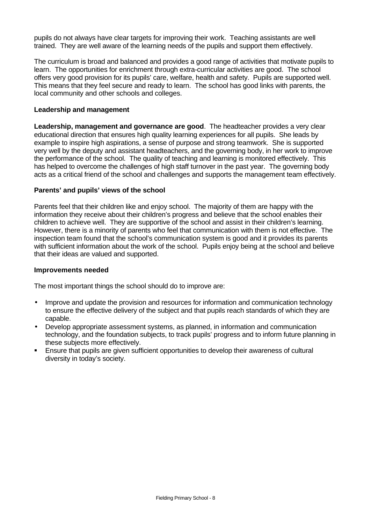pupils do not always have clear targets for improving their work. Teaching assistants are well trained. They are well aware of the learning needs of the pupils and support them effectively.

The curriculum is broad and balanced and provides a good range of activities that motivate pupils to learn. The opportunities for enrichment through extra-curricular activities are good. The school offers very good provision for its pupils' care, welfare, health and safety. Pupils are supported well. This means that they feel secure and ready to learn. The school has good links with parents, the local community and other schools and colleges.

#### **Leadership and management**

**Leadership, management and governance are good**. The headteacher provides a very clear educational direction that ensures high quality learning experiences for all pupils. She leads by example to inspire high aspirations, a sense of purpose and strong teamwork. She is supported very well by the deputy and assistant headteachers, and the governing body, in her work to improve the performance of the school. The quality of teaching and learning is monitored effectively. This has helped to overcome the challenges of high staff turnover in the past year. The governing body acts as a critical friend of the school and challenges and supports the management team effectively.

#### **Parents' and pupils' views of the school**

Parents feel that their children like and enjoy school. The majority of them are happy with the information they receive about their children's progress and believe that the school enables their children to achieve well. They are supportive of the school and assist in their children's learning. However, there is a minority of parents who feel that communication with them is not effective. The inspection team found that the school's communication system is good and it provides its parents with sufficient information about the work of the school. Pupils enjoy being at the school and believe that their ideas are valued and supported.

#### **Improvements needed**

The most important things the school should do to improve are:

- Improve and update the provision and resources for information and communication technology to ensure the effective delivery of the subject and that pupils reach standards of which they are capable.
- Develop appropriate assessment systems, as planned, in information and communication technology, and the foundation subjects, to track pupils' progress and to inform future planning in these subjects more effectively.
- **Ensure that pupils are given sufficient opportunities to develop their awareness of cultural** diversity in today's society.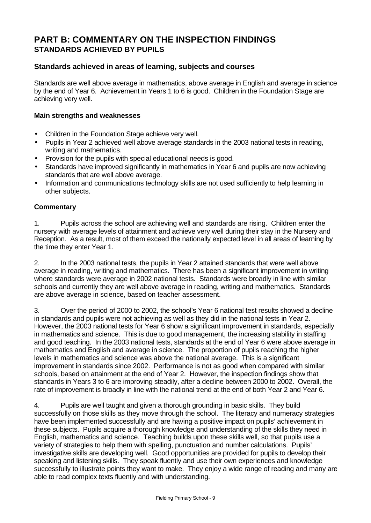# **PART B: COMMENTARY ON THE INSPECTION FINDINGS STANDARDS ACHIEVED BY PUPILS**

#### **Standards achieved in areas of learning, subjects and courses**

Standards are well above average in mathematics, above average in English and average in science by the end of Year 6. Achievement in Years 1 to 6 is good. Children in the Foundation Stage are achieving very well.

#### **Main strengths and weaknesses**

- Children in the Foundation Stage achieve very well.
- Pupils in Year 2 achieved well above average standards in the 2003 national tests in reading, writing and mathematics.
- Provision for the pupils with special educational needs is good.
- Standards have improved significantly in mathematics in Year 6 and pupils are now achieving standards that are well above average.
- Information and communications technology skills are not used sufficiently to help learning in other subjects.

#### **Commentary**

1. Pupils across the school are achieving well and standards are rising. Children enter the nursery with average levels of attainment and achieve very well during their stay in the Nursery and Reception. As a result, most of them exceed the nationally expected level in all areas of learning by the time they enter Year 1.

2. In the 2003 national tests, the pupils in Year 2 attained standards that were well above average in reading, writing and mathematics. There has been a significant improvement in writing where standards were average in 2002 national tests. Standards were broadly in line with similar schools and currently they are well above average in reading, writing and mathematics. Standards are above average in science, based on teacher assessment.

3. Over the period of 2000 to 2002, the school's Year 6 national test results showed a decline in standards and pupils were not achieving as well as they did in the national tests in Year 2. However, the 2003 national tests for Year 6 show a significant improvement in standards, especially in mathematics and science. This is due to good management, the increasing stability in staffing and good teaching. In the 2003 national tests, standards at the end of Year 6 were above average in mathematics and English and average in science. The proportion of pupils reaching the higher levels in mathematics and science was above the national average. This is a significant improvement in standards since 2002. Performance is not as good when compared with similar schools, based on attainment at the end of Year 2. However, the inspection findings show that standards in Years 3 to 6 are improving steadily, after a decline between 2000 to 2002. Overall, the rate of improvement is broadly in line with the national trend at the end of both Year 2 and Year 6.

4. Pupils are well taught and given a thorough grounding in basic skills. They build successfully on those skills as they move through the school. The literacy and numeracy strategies have been implemented successfully and are having a positive impact on pupils' achievement in these subjects. Pupils acquire a thorough knowledge and understanding of the skills they need in English, mathematics and science. Teaching builds upon these skills well, so that pupils use a variety of strategies to help them with spelling, punctuation and number calculations. Pupils' investigative skills are developing well. Good opportunities are provided for pupils to develop their speaking and listening skills. They speak fluently and use their own experiences and knowledge successfully to illustrate points they want to make. They enjoy a wide range of reading and many are able to read complex texts fluently and with understanding.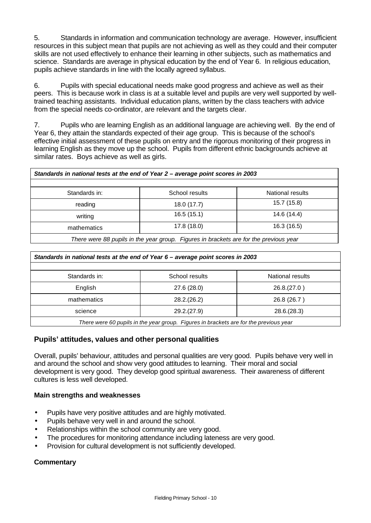5. Standards in information and communication technology are average. However, insufficient resources in this subject mean that pupils are not achieving as well as they could and their computer skills are not used effectively to enhance their learning in other subjects, such as mathematics and science. Standards are average in physical education by the end of Year 6. In religious education, pupils achieve standards in line with the locally agreed syllabus.

6. Pupils with special educational needs make good progress and achieve as well as their peers. This is because work in class is at a suitable level and pupils are very well supported by welltrained teaching assistants. Individual education plans, written by the class teachers with advice from the special needs co-ordinator, are relevant and the targets clear.

7. Pupils who are learning English as an additional language are achieving well.By the end of Year 6, they attain the standards expected of their age group. This is because of the school's effective initial assessment of these pupils on entry and the rigorous monitoring of their progress in learning English as they move up the school. Pupils from different ethnic backgrounds achieve at similar rates. Boys achieve as well as girls.

| Standards in national tests at the end of Year 2 - average point scores in 2003       |                |                  |  |  |  |  |
|---------------------------------------------------------------------------------------|----------------|------------------|--|--|--|--|
|                                                                                       |                |                  |  |  |  |  |
| Standards in:                                                                         | School results | National results |  |  |  |  |
| reading                                                                               | 18.0 (17.7)    | 15.7 (15.8)      |  |  |  |  |
| writing                                                                               | 16.5(15.1)     | 14.6 (14.4)      |  |  |  |  |
| mathematics                                                                           | 17.8 (18.0)    | 16.3 (16.5)      |  |  |  |  |
| There were 88 pupils in the year group. Figures in brackets are for the previous year |                |                  |  |  |  |  |

| Standards in national tests at the end of Year 6 - average point scores in 2003 |                                                                                                                                |                  |  |  |  |  |  |
|---------------------------------------------------------------------------------|--------------------------------------------------------------------------------------------------------------------------------|------------------|--|--|--|--|--|
|                                                                                 |                                                                                                                                |                  |  |  |  |  |  |
| Standards in:                                                                   | School results                                                                                                                 | National results |  |  |  |  |  |
| English                                                                         | 27.6 (28.0)                                                                                                                    | 26.8(27.0)       |  |  |  |  |  |
| mathematics                                                                     | 28.2.(26.2)                                                                                                                    | 26.8 (26.7)      |  |  |  |  |  |
| science<br>29.2(27.9)<br>28.6(28.3)                                             |                                                                                                                                |                  |  |  |  |  |  |
|                                                                                 | $\tau$ be a contracted as the first state of the contracted $\tau$ is the state of the first state of the contracted as $\tau$ |                  |  |  |  |  |  |

*There were 60 pupils in the year group. Figures in brackets are for the previous year*

# **Pupils' attitudes, values and other personal qualities**

Overall, pupils' behaviour, attitudes and personal qualities are very good. Pupils behave very well in and around the school and show very good attitudes to learning. Their moral and social development is very good. They develop good spiritual awareness. Their awareness of different cultures is less well developed.

#### **Main strengths and weaknesses**

- Pupils have very positive attitudes and are highly motivated.
- Pupils behave very well in and around the school.
- Relationships within the school community are very good.
- The procedures for monitoring attendance including lateness are very good.
- Provision for cultural development is not sufficiently developed.

# **Commentary**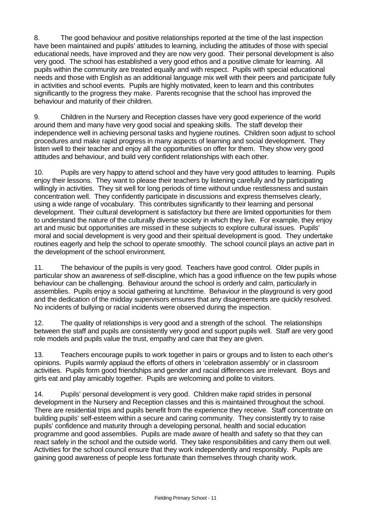8. The good behaviour and positive relationships reported at the time of the last inspection have been maintained and pupils' attitudes to learning, including the attitudes of those with special educational needs, have improved and they are now very good. Their personal development is also very good. The school has established a very good ethos and a positive climate for learning. All pupils within the community are treated equally and with respect. Pupils with special educational needs and those with English as an additional language mix well with their peers and participate fully in activities and school events. Pupils are highly motivated, keen to learn and this contributes significantly to the progress they make. Parents recognise that the school has improved the behaviour and maturity of their children.

9. Children in the Nursery and Reception classes have very good experience of the world around them and many have very good social and speaking skills. The staff develop their independence well in achieving personal tasks and hygiene routines. Children soon adjust to school procedures and make rapid progress in many aspects of learning and social development. They listen well to their teacher and enjoy all the opportunities on offer for them. They show very good attitudes and behaviour, and build very confident relationships with each other.

10. Pupils are very happy to attend school and they have very good attitudes to learning. Pupils enjoy their lessons. They want to please their teachers by listening carefully and by participating willingly in activities. They sit well for long periods of time without undue restlessness and sustain concentration well. They confidently participate in discussions and express themselves clearly, using a wide range of vocabulary. This contributes significantly to their learning and personal development. Their cultural development is satisfactory but there are limited opportunities for them to understand the nature of the culturally diverse society in which they live. For example, they enjoy art and music but opportunities are missed in these subjects to explore cultural issues. Pupils' moral and social development is very good and their spiritual development is good. They undertake routines eagerly and help the school to operate smoothly. The school council plays an active part in the development of the school environment.

11. The behaviour of the pupils is very good. Teachers have good control. Older pupils in particular show an awareness of self-discipline, which has a good influence on the few pupils whose behaviour can be challenging. Behaviour around the school is orderly and calm, particularly in assemblies. Pupils enjoy a social gathering at lunchtime. Behaviour in the playground is very good and the dedication of the midday supervisors ensures that any disagreements are quickly resolved. No incidents of bullying or racial incidents were observed during the inspection.

12. The quality of relationships is very good and a strength of the school. The relationships between the staff and pupils are consistently very good and support pupils well. Staff are very good role models and pupils value the trust, empathy and care that they are given.

13. Teachers encourage pupils to work together in pairs or groups and to listen to each other's opinions. Pupils warmly applaud the efforts of others in 'celebration assembly' or in classroom activities. Pupils form good friendships and gender and racial differences are irrelevant. Boys and girls eat and play amicably together. Pupils are welcoming and polite to visitors.

14. Pupils' personal development is very good. Children make rapid strides in personal development in the Nursery and Reception classes and this is maintained throughout the school. There are residential trips and pupils benefit from the experience they receive. Staff concentrate on building pupils' self-esteem within a secure and caring community. They consistently try to raise pupils' confidence and maturity through a developing personal, health and social education programme and good assemblies. Pupils are made aware of health and safety so that they can react safely in the school and the outside world. They take responsibilities and carry them out well. Activities for the school council ensure that they work independently and responsibly. Pupils are gaining good awareness of people less fortunate than themselves through charity work.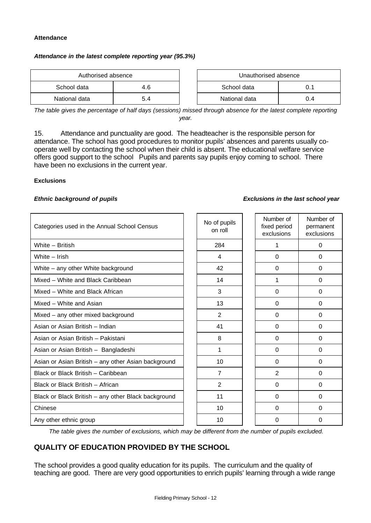#### **Attendance**

#### *Attendance in the latest complete reporting year (95.3%)*

| Authorised absence |     | Unauthorised absence |               |     |  |
|--------------------|-----|----------------------|---------------|-----|--|
| School data        | 4.6 |                      | School data   |     |  |
| National data      | 5.4 |                      | National data | 0.4 |  |

| Unauthorised absence |     |  |  |  |
|----------------------|-----|--|--|--|
| School data          | 0 1 |  |  |  |
| National data        | በ 4 |  |  |  |

*The table gives the percentage of half days (sessions) missed through absence for the latest complete reporting year.*

15. Attendance and punctuality are good. The headteacher is the responsible person for attendance. The school has good procedures to monitor pupils' absences and parents usually cooperate well by contacting the school when their child is absent. The educational welfare service offers good support to the school Pupils and parents say pupils enjoy coming to school. There have been no exclusions in the current year.

#### **Exclusions**

| Categories used in the Annual School Census         | No of pupils<br>on roll | Number of<br>fixed period<br>exclusions | Number of<br>permanent<br>exclusions |
|-----------------------------------------------------|-------------------------|-----------------------------------------|--------------------------------------|
| White - British                                     | 284                     | 1                                       | $\Omega$                             |
| White - Irish                                       | 4                       | $\Omega$                                | $\Omega$                             |
| White - any other White background                  | 42                      | 0                                       | 0                                    |
| Mixed - White and Black Caribbean                   | 14                      | 1                                       | $\Omega$                             |
| Mixed – White and Black African                     | 3                       | $\Omega$                                | 0                                    |
| Mixed - White and Asian                             | 13                      | $\Omega$                                | 0                                    |
| Mixed - any other mixed background                  | $\overline{2}$          | $\Omega$                                | $\Omega$                             |
| Asian or Asian British - Indian                     | 41                      | $\Omega$                                | $\Omega$                             |
| Asian or Asian British - Pakistani                  | 8                       | $\Omega$                                | $\Omega$                             |
| Asian or Asian British - Bangladeshi                | 1                       | $\Omega$                                | $\Omega$                             |
| Asian or Asian British - any other Asian background | 10                      | $\Omega$                                | $\Omega$                             |
| Black or Black British - Caribbean                  | $\overline{7}$          | 2                                       | $\Omega$                             |
| Black or Black British - African                    | 2                       | $\Omega$                                | $\Omega$                             |
| Black or Black British - any other Black background | 11                      | $\Omega$                                | $\Omega$                             |
| Chinese                                             | 10                      | $\Omega$                                | $\Omega$                             |
| Any other ethnic group                              | 10                      | 0                                       | 0                                    |

*The table gives the number of exclusions, which may be different from the number of pupils excluded.*

# **QUALITY OF EDUCATION PROVIDED BY THE SCHOOL**

The school provides a good quality education for its pupils. The curriculum and the quality of teaching are good. There are very good opportunities to enrich pupils' learning through a wide range

#### *Ethnic background of pupils Exclusions in the last school year*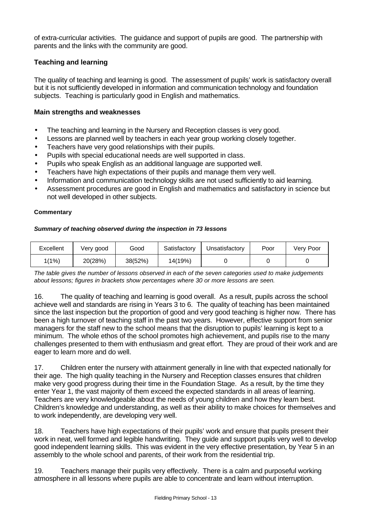of extra-curricular activities. The guidance and support of pupils are good. The partnership with parents and the links with the community are good.

#### **Teaching and learning**

The quality of teaching and learning is good. The assessment of pupils' work is satisfactory overall but it is not sufficiently developed in information and communication technology and foundation subjects. Teaching is particularly good in English and mathematics.

#### **Main strengths and weaknesses**

- The teaching and learning in the Nursery and Reception classes is very good.
- Lessons are planned well by teachers in each year group working closely together.
- Teachers have very good relationships with their pupils.
- Pupils with special educational needs are well supported in class.
- Pupils who speak English as an additional language are supported well.
- Teachers have high expectations of their pupils and manage them very well.
- Information and communication technology skills are not used sufficiently to aid learning.
- Assessment procedures are good in English and mathematics and satisfactory in science but not well developed in other subjects.

#### **Commentary**

#### *Summary of teaching observed during the inspection in 73 lessons*

| Excellent | Very good | Good    | Satisfactory | Unsatisfactory | Poor | Very Poor |
|-----------|-----------|---------|--------------|----------------|------|-----------|
| $1(1\%)$  | 20(28%)   | 38(52%) | 14(19%)      |                |      |           |

*The table gives the number of lessons observed in each of the seven categories used to make judgements about lessons; figures in brackets show percentages where 30 or more lessons are seen.*

16. The quality of teaching and learning is good overall. As a result, pupils across the school achieve well and standards are rising in Years 3 to 6. The quality of teaching has been maintained since the last inspection but the proportion of good and very good teaching is higher now. There has been a high turnover of teaching staff in the past two years. However, effective support from senior managers for the staff new to the school means that the disruption to pupils' learning is kept to a minimum. The whole ethos of the school promotes high achievement, and pupils rise to the many challenges presented to them with enthusiasm and great effort. They are proud of their work and are eager to learn more and do well.

17. Children enter the nursery with attainment generally in line with that expected nationally for their age. The high quality teaching in the Nursery and Reception classes ensures that children make very good progress during their time in the Foundation Stage. As a result, by the time they enter Year 1, the vast majority of them exceed the expected standards in all areas of learning. Teachers are very knowledgeable about the needs of young children and how they learn best. Children's knowledge and understanding, as well as their ability to make choices for themselves and to work independently, are developing very well.

18. Teachers have high expectations of their pupils' work and ensure that pupils present their work in neat, well formed and legible handwriting. They guide and support pupils very well to develop good independent learning skills. This was evident in the very effective presentation, by Year 5 in an assembly to the whole school and parents, of their work from the residential trip.

19. Teachers manage their pupils very effectively. There is a calm and purposeful working atmosphere in all lessons where pupils are able to concentrate and learn without interruption.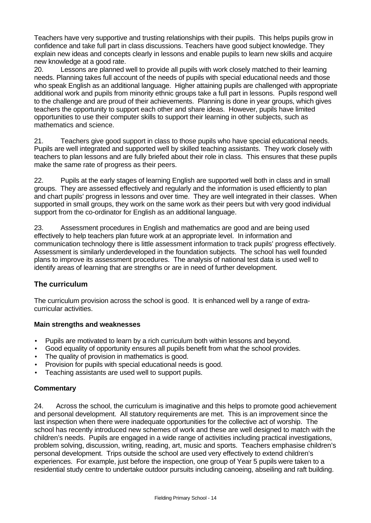Teachers have very supportive and trusting relationships with their pupils. This helps pupils grow in confidence and take full part in class discussions. Teachers have good subject knowledge. They explain new ideas and concepts clearly in lessons and enable pupils to learn new skills and acquire new knowledge at a good rate.

20. Lessons are planned well to provide all pupils with work closely matched to their learning needs. Planning takes full account of the needs of pupils with special educational needs and those who speak English as an additional language. Higher attaining pupils are challenged with appropriate additional work and pupils from minority ethnic groups take a full part in lessons. Pupils respond well to the challenge and are proud of their achievements. Planning is done in year groups, which gives teachers the opportunity to support each other and share ideas. However, pupils have limited opportunities to use their computer skills to support their learning in other subjects, such as mathematics and science.

21. Teachers give good support in class to those pupils who have special educational needs. Pupils are well integrated and supported well by skilled teaching assistants. They work closely with teachers to plan lessons and are fully briefed about their role in class. This ensures that these pupils make the same rate of progress as their peers.

22. Pupils at the early stages of learning English are supported well both in class and in small groups. They are assessed effectively and regularly and the information is used efficiently to plan and chart pupils' progress in lessons and over time. They are well integrated in their classes. When supported in small groups, they work on the same work as their peers but with very good individual support from the co-ordinator for English as an additional language.

23. Assessment procedures in English and mathematics are good and are being used effectively to help teachers plan future work at an appropriate level. In information and communication technology there is little assessment information to track pupils' progress effectively. Assessment is similarly underdeveloped in the foundation subjects. The school has well founded plans to improve its assessment procedures. The analysis of national test data is used well to identify areas of learning that are strengths or are in need of further development.

# **The curriculum**

The curriculum provision across the school is good. It is enhanced well by a range of extracurricular activities.

# **Main strengths and weaknesses**

- Pupils are motivated to learn by a rich curriculum both within lessons and beyond.
- Good equality of opportunity ensures all pupils benefit from what the school provides.
- The quality of provision in mathematics is good.
- Provision for pupils with special educational needs is good.
- Teaching assistants are used well to support pupils.

# **Commentary**

24. Across the school, the curriculum is imaginative and this helps to promote good achievement and personal development. All statutory requirements are met. This is an improvement since the last inspection when there were inadequate opportunities for the collective act of worship. The school has recently introduced new schemes of work and these are well designed to match with the children's needs. Pupils are engaged in a wide range of activities including practical investigations, problem solving, discussion, writing, reading, art, music and sports. Teachers emphasise children's personal development. Trips outside the school are used very effectively to extend children's experiences. For example, just before the inspection, one group of Year 5 pupils were taken to a residential study centre to undertake outdoor pursuits including canoeing, abseiling and raft building.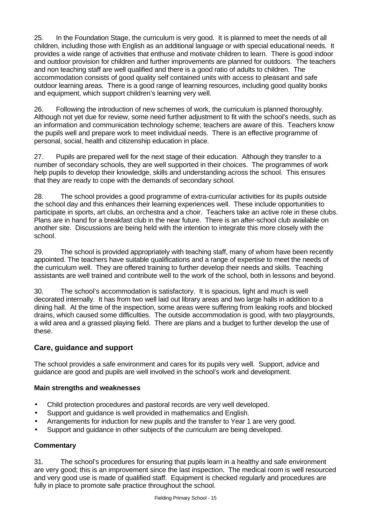25. In the Foundation Stage, the curriculum is very good. It is planned to meet the needs of all children, including those with English as an additional language or with special educational needs. It provides a wide range of activities that enthuse and motivate children to learn. There is good indoor and outdoor provision for children and further improvements are planned for outdoors. The teachers and non teaching staff are well qualified and there is a good ratio of adults to children. The accommodation consists of good quality self contained units with access to pleasant and safe outdoor learning areas. There is a good range of learning resources, including good quality books and equipment, which support children's learning very well.

26. Following the introduction of new schemes of work, the curriculum is planned thoroughly. Although not yet due for review, some need further adjustment to fit with the school's needs, such as an information and communication technology scheme; teachers are aware of this. Teachers know the pupils well and prepare work to meet individual needs. There is an effective programme of personal, social, health and citizenship education in place.

27. Pupils are prepared well for the next stage of their education. Although they transfer to a number of secondary schools, they are well supported in their choices. The programmes of work help pupils to develop their knowledge, skills and understanding across the school. This ensures that they are ready to cope with the demands of secondary school.

28. The school provides a good programme of extra-curricular activities for its pupils outside the school day and this enhances their learning experiences well. These include opportunities to participate in sports, art clubs, an orchestra and a choir. Teachers take an active role in these clubs. Plans are in hand for a breakfast club in the near future. There is an after-school club available on another site. Discussions are being held with the intention to integrate this more closely with the school.

29. The school is provided appropriately with teaching staff, many of whom have been recently appointed. The teachers have suitable qualifications and a range of expertise to meet the needs of the curriculum well. They are offered training to further develop their needs and skills. Teaching assistants are well trained and contribute well to the work of the school, both in lessons and beyond.

30. The school's accommodation is satisfactory. It is spacious, light and much is well decorated internally. It has from two well laid out library areas and two large halls in addition to a dining hall. At the time of the inspection, some areas were suffering from leaking roofs and blocked drains, which caused some difficulties. The outside accommodation is good, with two playgrounds, a wild area and a grassed playing field. There are plans and a budget to further develop the use of these.

# **Care, guidance and support**

The school provides a safe environment and cares for its pupils very well. Support, advice and guidance are good and pupils are well involved in the school's work and development.

# **Main strengths and weaknesses**

- Child protection procedures and pastoral records are very well developed.
- Support and quidance is well provided in mathematics and English.
- Arrangements for induction for new pupils and the transfer to Year 1 are very good.
- Support and guidance in other subjects of the curriculum are being developed.

# **Commentary**

31. The school's procedures for ensuring that pupils learn in a healthy and safe environment are very good; this is an improvement since the last inspection. The medical room is well resourced and very good use is made of qualified staff. Equipment is checked regularly and procedures are fully in place to promote safe practice throughout the school.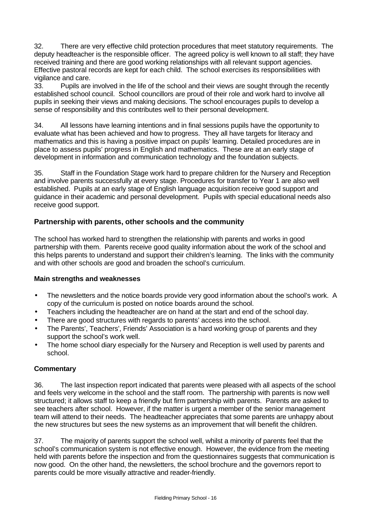32. There are very effective child protection procedures that meet statutory requirements. The deputy headteacher is the responsible officer. The agreed policy is well known to all staff; they have received training and there are good working relationships with all relevant support agencies. Effective pastoral records are kept for each child. The school exercises its responsibilities with vigilance and care.

33. Pupils are involved in the life of the school and their views are sought through the recently established school council. School councillors are proud of their role and work hard to involve all pupils in seeking their views and making decisions. The school encourages pupils to develop a sense of responsibility and this contributes well to their personal development.

34. All lessons have learning intentions and in final sessions pupils have the opportunity to evaluate what has been achieved and how to progress. They all have targets for literacy and mathematics and this is having a positive impact on pupils' learning. Detailed procedures are in place to assess pupils' progress in English and mathematics. These are at an early stage of development in information and communication technology and the foundation subjects.

35. Staff in the Foundation Stage work hard to prepare children for the Nursery and Reception and involve parents successfully at every stage. Procedures for transfer to Year 1 are also well established. Pupils at an early stage of English language acquisition receive good support and guidance in their academic and personal development. Pupils with special educational needs also receive good support.

# **Partnership with parents, other schools and the community**

The school has worked hard to strengthen the relationship with parents and works in good partnership with them. Parents receive good quality information about the work of the school and this helps parents to understand and support their children's learning. The links with the community and with other schools are good and broaden the school's curriculum.

#### **Main strengths and weaknesses**

- The newsletters and the notice boards provide very good information about the school's work. A copy of the curriculum is posted on notice boards around the school.
- Teachers including the headteacher are on hand at the start and end of the school day.
- There are good structures with regards to parents' access into the school.
- The Parents', Teachers', Friends' Association is a hard working group of parents and they support the school's work well.
- The home school diary especially for the Nursery and Reception is well used by parents and school.

# **Commentary**

36. The last inspection report indicated that parents were pleased with all aspects of the school and feels very welcome in the school and the staff room. The partnership with parents is now well structured; it allows staff to keep a friendly but firm partnership with parents. Parents are asked to see teachers after school. However, if the matter is urgent a member of the senior management team will attend to their needs. The headteacher appreciates that some parents are unhappy about the new structures but sees the new systems as an improvement that will benefit the children.

37. The majority of parents support the school well, whilst a minority of parents feel that the school's communication system is not effective enough. However, the evidence from the meeting held with parents before the inspection and from the questionnaires suggests that communication is now good. On the other hand, the newsletters, the school brochure and the governors report to parents could be more visually attractive and reader-friendly.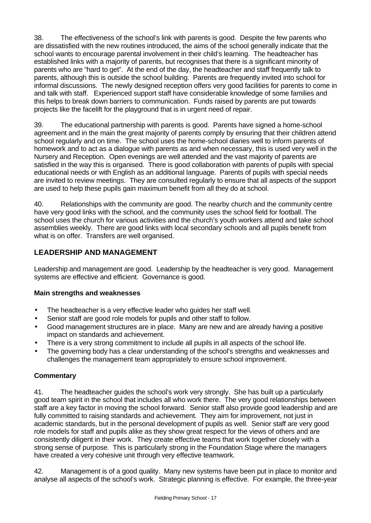38. The effectiveness of the school's link with parents is good. Despite the few parents who are dissatisfied with the new routines introduced, the aims of the school generally indicate that the school wants to encourage parental involvement in their child's learning. The headteacher has established links with a majority of parents, but recognises that there is a significant minority of parents who are "hard to get". At the end of the day, the headteacher and staff frequently talk to parents, although this is outside the school building. Parents are frequently invited into school for informal discussions. The newly designed reception offers very good facilities for parents to come in and talk with staff. Experienced support staff have considerable knowledge of some families and this helps to break down barriers to communication. Funds raised by parents are put towards projects like the facelift for the playground that is in urgent need of repair.

39. The educational partnership with parents is good. Parents have signed a home-school agreement and in the main the great majority of parents comply by ensuring that their children attend school regularly and on time. The school uses the home-school diaries well to inform parents of homework and to act as a dialogue with parents as and when necessary, this is used very well in the Nursery and Reception. Open evenings are well attended and the vast majority of parents are satisfied in the way this is organised. There is good collaboration with parents of pupils with special educational needs or with English as an additional language. Parents of pupils with special needs are invited to review meetings. They are consulted regularly to ensure that all aspects of the support are used to help these pupils gain maximum benefit from all they do at school.

40. Relationships with the community are good. The nearby church and the community centre have very good links with the school, and the community uses the school field for football. The school uses the church for various activities and the church's youth workers attend and take school assemblies weekly. There are good links with local secondary schools and all pupils benefit from what is on offer. Transfers are well organised.

# **LEADERSHIP AND MANAGEMENT**

Leadership and management are good. Leadership by the headteacher is very good. Management systems are effective and efficient. Governance is good.

# **Main strengths and weaknesses**

- The headteacher is a very effective leader who guides her staff well.
- Senior staff are good role models for pupils and other staff to follow.
- Good management structures are in place. Many are new and are already having a positive impact on standards and achievement.
- There is a very strong commitment to include all pupils in all aspects of the school life.
- The governing body has a clear understanding of the school's strengths and weaknesses and challenges the management team appropriately to ensure school improvement.

# **Commentary**

41. The headteacher guides the school's work very strongly. She has built up a particularly good team spirit in the school that includes all who work there. The very good relationships between staff are a key factor in moving the school forward. Senior staff also provide good leadership and are fully committed to raising standards and achievement. They aim for improvement, not just in academic standards, but in the personal development of pupils as well. Senior staff are very good role models for staff and pupils alike as they show great respect for the views of others and are consistently diligent in their work. They create effective teams that work together closely with a strong sense of purpose. This is particularly strong in the Foundation Stage where the managers have created a very cohesive unit through very effective teamwork.

42. Management is of a good quality. Many new systems have been put in place to monitor and analyse all aspects of the school's work. Strategic planning is effective. For example, the three-year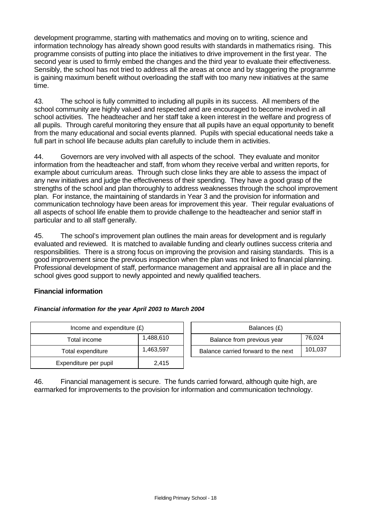development programme, starting with mathematics and moving on to writing, science and information technology has already shown good results with standards in mathematics rising. This programme consists of putting into place the initiatives to drive improvement in the first year. The second year is used to firmly embed the changes and the third year to evaluate their effectiveness. Sensibly, the school has not tried to address all the areas at once and by staggering the programme is gaining maximum benefit without overloading the staff with too many new initiatives at the same time.

43. The school is fully committed to including all pupils in its success. All members of the school community are highly valued and respected and are encouraged to become involved in all school activities. The headteacher and her staff take a keen interest in the welfare and progress of all pupils. Through careful monitoring they ensure that all pupils have an equal opportunity to benefit from the many educational and social events planned. Pupils with special educational needs take a full part in school life because adults plan carefully to include them in activities.

44. Governors are very involved with all aspects of the school. They evaluate and monitor information from the headteacher and staff, from whom they receive verbal and written reports, for example about curriculum areas. Through such close links they are able to assess the impact of any new initiatives and judge the effectiveness of their spending. They have a good grasp of the strengths of the school and plan thoroughly to address weaknesses through the school improvement plan. For instance, the maintaining of standards in Year 3 and the provision for information and communication technology have been areas for improvement this year. Their regular evaluations of all aspects of school life enable them to provide challenge to the headteacher and senior staff in particular and to all staff generally.

45. The school's improvement plan outlines the main areas for development and is regularly evaluated and reviewed. It is matched to available funding and clearly outlines success criteria and responsibilities. There is a strong focus on improving the provision and raising standards. This is a good improvement since the previous inspection when the plan was not linked to financial planning. Professional development of staff, performance management and appraisal are all in place and the school gives good support to newly appointed and newly qualified teachers.

# **Financial information**

#### *Financial information for the year April 2003 to March 2004*

| Income and expenditure $(E)$ |           |  | Balances (£)                   |
|------------------------------|-----------|--|--------------------------------|
| Total income                 | 1,488,610 |  | Balance from previous year     |
| Total expenditure            | 1,463,597 |  | Balance carried forward to the |
| Expenditure per pupil        | 2.415     |  |                                |

| Income and expenditure $(E)$ |           | Balances (£)                         |         |
|------------------------------|-----------|--------------------------------------|---------|
| Total income                 | 1,488,610 | 76.024<br>Balance from previous year |         |
| Total expenditure            | 1,463,597 | Balance carried forward to the next  | 101,037 |

46. Financial management is secure. The funds carried forward, although quite high, are earmarked for improvements to the provision for information and communication technology.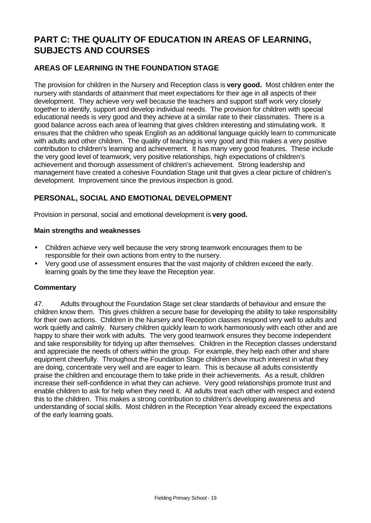# **PART C: THE QUALITY OF EDUCATION IN AREAS OF LEARNING, SUBJECTS AND COURSES**

# **AREAS OF LEARNING IN THE FOUNDATION STAGE**

The provision for children in the Nursery and Reception class is **very good.** Most children enter the nursery with standards of attainment that meet expectations for their age in all aspects of their development. They achieve very well because the teachers and support staff work very closely together to identify, support and develop individual needs. The provision for children with special educational needs is very good and they achieve at a similar rate to their classmates. There is a good balance across each area of learning that gives children interesting and stimulating work. It ensures that the children who speak English as an additional language quickly learn to communicate with adults and other children. The quality of teaching is very good and this makes a very positive contribution to children's learning and achievement. It has many very good features. These include the very good level of teamwork, very positive relationships, high expectations of children's achievement and thorough assessment of children's achievement. Strong leadership and management have created a cohesive Foundation Stage unit that gives a clear picture of children's development. Improvement since the previous inspection is good.

# **PERSONAL, SOCIAL AND EMOTIONAL DEVELOPMENT**

Provision in personal, social and emotional development is **very good.**

# **Main strengths and weaknesses**

- Children achieve very well because the very strong teamwork encourages them to be responsible for their own actions from entry to the nursery.
- Very good use of assessment ensures that the vast majority of children exceed the early. learning goals by the time they leave the Reception year.

# **Commentary**

47. Adults throughout the Foundation Stage set clear standards of behaviour and ensure the children know them. This gives children a secure base for developing the ability to take responsibility for their own actions. Children in the Nursery and Reception classes respond very well to adults and work quietly and calmly. Nursery children quickly learn to work harmoniously with each other and are happy to share their work with adults. The very good teamwork ensures they become independent and take responsibility for tidying up after themselves. Children in the Reception classes understand and appreciate the needs of others within the group. For example, they help each other and share equipment cheerfully. Throughout the Foundation Stage children show much interest in what they are doing, concentrate very well and are eager to learn. This is because all adults consistently praise the children and encourage them to take pride in their achievements. As a result, children increase their self-confidence in what they can achieve. Very good relationships promote trust and enable children to ask for help when they need it. All adults treat each other with respect and extend this to the children. This makes a strong contribution to children's developing awareness and understanding of social skills. Most children in the Reception Year already exceed the expectations of the early learning goals.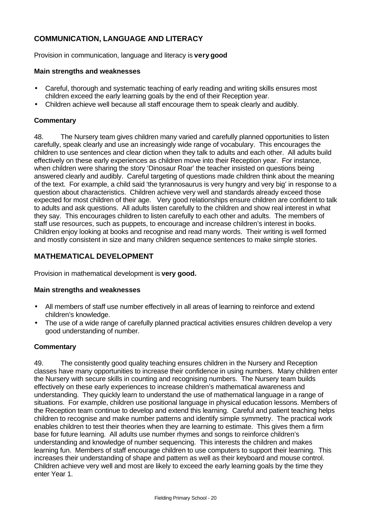# **COMMUNICATION, LANGUAGE AND LITERACY**

Provision in communication, language and literacy is **very good**

#### **Main strengths and weaknesses**

- Careful, thorough and systematic teaching of early reading and writing skills ensures most children exceed the early learning goals by the end of their Reception year.
- Children achieve well because all staff encourage them to speak clearly and audibly.

#### **Commentary**

48. The Nursery team gives children many varied and carefully planned opportunities to listen carefully, speak clearly and use an increasingly wide range of vocabulary. This encourages the children to use sentences and clear diction when they talk to adults and each other. All adults build effectively on these early experiences as children move into their Reception year. For instance, when children were sharing the story 'Dinosaur Roar' the teacher insisted on questions being answered clearly and audibly. Careful targeting of questions made children think about the meaning of the text. For example, a child said 'the tyrannosaurus is very hungry and very big' in response to a question about characteristics. Children achieve very well and standards already exceed those expected for most children of their age. Very good relationships ensure children are confident to talk to adults and ask questions. All adults listen carefully to the children and show real interest in what they say. This encourages children to listen carefully to each other and adults. The members of staff use resources, such as puppets, to encourage and increase children's interest in books. Children enjoy looking at books and recognise and read many words. Their writing is well formed and mostly consistent in size and many children sequence sentences to make simple stories.

# **MATHEMATICAL DEVELOPMENT**

Provision in mathematical development is **very good.**

#### **Main strengths and weaknesses**

- All members of staff use number effectively in all areas of learning to reinforce and extend children's knowledge.
- The use of a wide range of carefully planned practical activities ensures children develop a very good understanding of number.

#### **Commentary**

49. The consistently good quality teaching ensures children in the Nursery and Reception classes have many opportunities to increase their confidence in using numbers. Many children enter the Nursery with secure skills in counting and recognising numbers. The Nursery team builds effectively on these early experiences to increase children's mathematical awareness and understanding. They quickly learn to understand the use of mathematical language in a range of situations. For example, children use positional language in physical education lessons. Members of the Reception team continue to develop and extend this learning. Careful and patient teaching helps children to recognise and make number patterns and identify simple symmetry. The practical work enables children to test their theories when they are learning to estimate. This gives them a firm base for future learning. All adults use number rhymes and songs to reinforce children's understanding and knowledge of number sequencing. This interests the children and makes learning fun. Members of staff encourage children to use computers to support their learning. This increases their understanding of shape and pattern as well as their keyboard and mouse control. Children achieve very well and most are likely to exceed the early learning goals by the time they enter Year 1.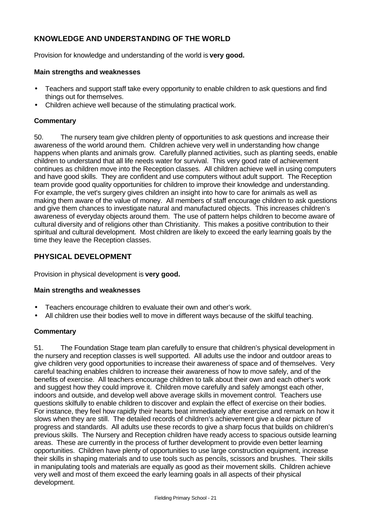# **KNOWLEDGE AND UNDERSTANDING OF THE WORLD**

Provision for knowledge and understanding of the world is **very good.**

#### **Main strengths and weaknesses**

- Teachers and support staff take every opportunity to enable children to ask questions and find things out for themselves.
- Children achieve well because of the stimulating practical work.

#### **Commentary**

50. The nursery team give children plenty of opportunities to ask questions and increase their awareness of the world around them. Children achieve very well in understanding how change happens when plants and animals grow. Carefully planned activities, such as planting seeds, enable children to understand that all life needs water for survival. This very good rate of achievement continues as children move into the Reception classes. All children achieve well in using computers and have good skills. They are confident and use computers without adult support. The Reception team provide good quality opportunities for children to improve their knowledge and understanding. For example, the vet's surgery gives children an insight into how to care for animals as well as making them aware of the value of money. All members of staff encourage children to ask questions and give them chances to investigate natural and manufactured objects. This increases children's awareness of everyday objects around them. The use of pattern helps children to become aware of cultural diversity and of religions other than Christianity. This makes a positive contribution to their spiritual and cultural development. Most children are likely to exceed the early learning goals by the time they leave the Reception classes.

# **PHYSICAL DEVELOPMENT**

Provision in physical development is **very good.**

#### **Main strengths and weaknesses**

- Teachers encourage children to evaluate their own and other's work.
- All children use their bodies well to move in different ways because of the skilful teaching.

# **Commentary**

51. The Foundation Stage team plan carefully to ensure that children's physical development in the nursery and reception classes is well supported. All adults use the indoor and outdoor areas to give children very good opportunities to increase their awareness of space and of themselves. Very careful teaching enables children to increase their awareness of how to move safely, and of the benefits of exercise. All teachers encourage children to talk about their own and each other's work and suggest how they could improve it. Children move carefully and safely amongst each other, indoors and outside, and develop well above average skills in movement control. Teachers use questions skilfully to enable children to discover and explain the effect of exercise on their bodies. For instance, they feel how rapidly their hearts beat immediately after exercise and remark on how it slows when they are still. The detailed records of children's achievement give a clear picture of progress and standards. All adults use these records to give a sharp focus that builds on children's previous skills. The Nursery and Reception children have ready access to spacious outside learning areas. These are currently in the process of further development to provide even better learning opportunities. Children have plenty of opportunities to use large construction equipment, increase their skills in shaping materials and to use tools such as pencils, scissors and brushes. Their skills in manipulating tools and materials are equally as good as their movement skills. Children achieve very well and most of them exceed the early learning goals in all aspects of their physical development.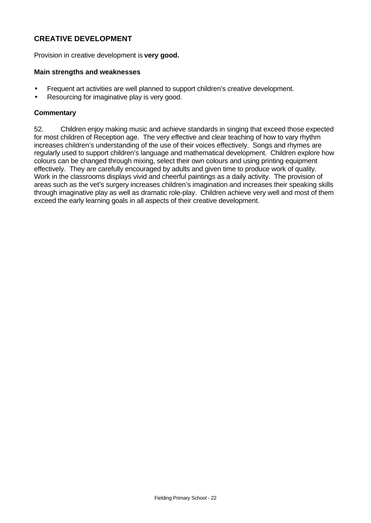# **CREATIVE DEVELOPMENT**

Provision in creative development is **very good.**

#### **Main strengths and weaknesses**

- Frequent art activities are well planned to support children's creative development.
- Resourcing for imaginative play is very good.

#### **Commentary**

52. Children enjoy making music and achieve standards in singing that exceed those expected for most children of Reception age. The very effective and clear teaching of how to vary rhythm increases children's understanding of the use of their voices effectively. Songs and rhymes are regularly used to support children's language and mathematical development. Children explore how colours can be changed through mixing, select their own colours and using printing equipment effectively. They are carefully encouraged by adults and given time to produce work of quality. Work in the classrooms displays vivid and cheerful paintings as a daily activity. The provision of areas such as the vet's surgery increases children's imagination and increases their speaking skills through imaginative play as well as dramatic role-play. Children achieve very well and most of them exceed the early learning goals in all aspects of their creative development.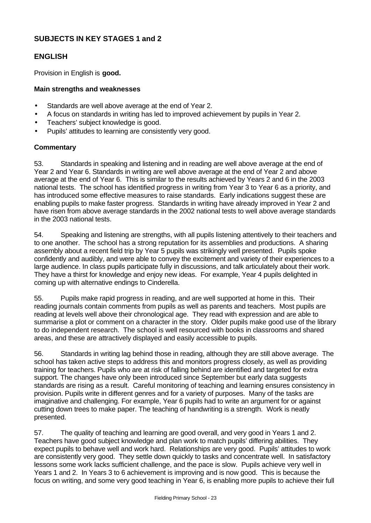# **SUBJECTS IN KEY STAGES 1 and 2**

# **ENGLISH**

Provision in English is **good.**

#### **Main strengths and weaknesses**

- Standards are well above average at the end of Year 2.
- A focus on standards in writing has led to improved achievement by pupils in Year 2.
- Teachers' subject knowledge is good.
- Pupils' attitudes to learning are consistently very good.

#### **Commentary**

53. Standards in speaking and listening and in reading are well above average at the end of Year 2 and Year 6. Standards in writing are well above average at the end of Year 2 and above average at the end of Year 6. This is similar to the results achieved by Years 2 and 6 in the 2003 national tests. The school has identified progress in writing from Year 3 to Year 6 as a priority, and has introduced some effective measures to raise standards. Early indications suggest these are enabling pupils to make faster progress. Standards in writing have already improved in Year 2 and have risen from above average standards in the 2002 national tests to well above average standards in the 2003 national tests.

54. Speaking and listening are strengths, with all pupils listening attentively to their teachers and to one another. The school has a strong reputation for its assemblies and productions. A sharing assembly about a recent field trip by Year 5 pupils was strikingly well presented. Pupils spoke confidently and audibly, and were able to convey the excitement and variety of their experiences to a large audience. In class pupils participate fully in discussions, and talk articulately about their work. They have a thirst for knowledge and enjoy new ideas. For example, Year 4 pupils delighted in coming up with alternative endings to Cinderella.

55. Pupils make rapid progress in reading, and are well supported at home in this. Their reading journals contain comments from pupils as well as parents and teachers. Most pupils are reading at levels well above their chronological age. They read with expression and are able to summarise a plot or comment on a character in the story. Older pupils make good use of the library to do independent research. The school is well resourced with books in classrooms and shared areas, and these are attractively displayed and easily accessible to pupils.

56. Standards in writing lag behind those in reading, although they are still above average. The school has taken active steps to address this and monitors progress closely, as well as providing training for teachers. Pupils who are at risk of falling behind are identified and targeted for extra support. The changes have only been introduced since September but early data suggests standards are rising as a result. Careful monitoring of teaching and learning ensures consistency in provision. Pupils write in different genres and for a variety of purposes. Many of the tasks are imaginative and challenging. For example, Year 6 pupils had to write an argument for or against cutting down trees to make paper. The teaching of handwriting is a strength. Work is neatly presented.

57. The quality of teaching and learning are good overall, and very good in Years 1 and 2. Teachers have good subject knowledge and plan work to match pupils' differing abilities. They expect pupils to behave well and work hard. Relationships are very good. Pupils' attitudes to work are consistently very good. They settle down quickly to tasks and concentrate well. In satisfactory lessons some work lacks sufficient challenge, and the pace is slow. Pupils achieve very well in Years 1 and 2. In Years 3 to 6 achievement is improving and is now good. This is because the focus on writing, and some very good teaching in Year 6, is enabling more pupils to achieve their full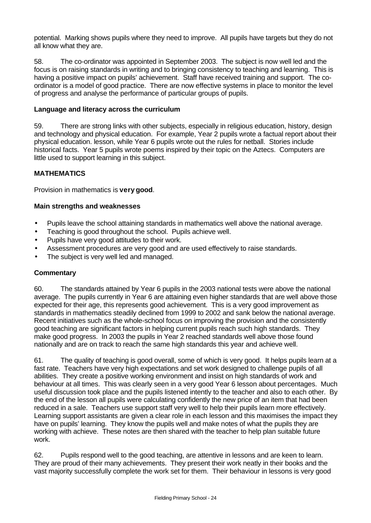potential. Marking shows pupils where they need to improve. All pupils have targets but they do not all know what they are.

58. The co-ordinator was appointed in September 2003. The subject is now well led and the focus is on raising standards in writing and to bringing consistency to teaching and learning. This is having a positive impact on pupils' achievement. Staff have received training and support. The coordinator is a model of good practice. There are now effective systems in place to monitor the level of progress and analyse the performance of particular groups of pupils.

#### **Language and literacy across the curriculum**

59. There are strong links with other subjects, especially in religious education, history, design and technology and physical education. For example, Year 2 pupils wrote a factual report about their physical education. lesson, while Year 6 pupils wrote out the rules for netball. Stories include historical facts. Year 5 pupils wrote poems inspired by their topic on the Aztecs. Computers are little used to support learning in this subject.

# **MATHEMATICS**

Provision in mathematics is **very good**.

#### **Main strengths and weaknesses**

- Pupils leave the school attaining standards in mathematics well above the national average.
- Teaching is good throughout the school. Pupils achieve well.
- Pupils have very good attitudes to their work.
- Assessment procedures are very good and are used effectively to raise standards.
- The subject is very well led and managed.

#### **Commentary**

60. The standards attained by Year 6 pupils in the 2003 national tests were above the national average. The pupils currently in Year 6 are attaining even higher standards that are well above those expected for their age, this represents good achievement. This is a very good improvement as standards in mathematics steadily declined from 1999 to 2002 and sank below the national average. Recent initiatives such as the whole-school focus on improving the provision and the consistently good teaching are significant factors in helping current pupils reach such high standards. They make good progress. In 2003 the pupils in Year 2 reached standards well above those found nationally and are on track to reach the same high standards this year and achieve well.

61. The quality of teaching is good overall, some of which is very good. It helps pupils learn at a fast rate. Teachers have very high expectations and set work designed to challenge pupils of all abilities. They create a positive working environment and insist on high standards of work and behaviour at all times. This was clearly seen in a very good Year 6 lesson about percentages. Much useful discussion took place and the pupils listened intently to the teacher and also to each other. By the end of the lesson all pupils were calculating confidently the new price of an item that had been reduced in a sale. Teachers use support staff very well to help their pupils learn more effectively. Learning support assistants are given a clear role in each lesson and this maximises the impact they have on pupils' learning. They know the pupils well and make notes of what the pupils they are working with achieve. These notes are then shared with the teacher to help plan suitable future work.

62. Pupils respond well to the good teaching, are attentive in lessons and are keen to learn. They are proud of their many achievements. They present their work neatly in their books and the vast majority successfully complete the work set for them. Their behaviour in lessons is very good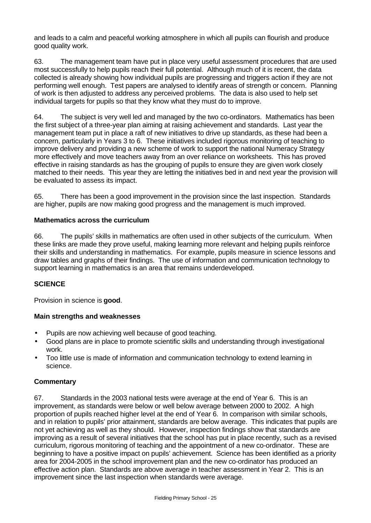and leads to a calm and peaceful working atmosphere in which all pupils can flourish and produce good quality work.

63. The management team have put in place very useful assessment procedures that are used most successfully to help pupils reach their full potential. Although much of it is recent, the data collected is already showing how individual pupils are progressing and triggers action if they are not performing well enough. Test papers are analysed to identify areas of strength or concern. Planning of work is then adjusted to address any perceived problems. The data is also used to help set individual targets for pupils so that they know what they must do to improve.

64. The subject is very well led and managed by the two co-ordinators. Mathematics has been the first subject of a three-year plan aiming at raising achievement and standards. Last year the management team put in place a raft of new initiatives to drive up standards, as these had been a concern, particularly in Years 3 to 6. These initiatives included rigorous monitoring of teaching to improve delivery and providing a new scheme of work to support the national Numeracy Strategy more effectively and move teachers away from an over reliance on worksheets. This has proved effective in raising standards as has the grouping of pupils to ensure they are given work closely matched to their needs. This year they are letting the initiatives bed in and next year the provision will be evaluated to assess its impact.

65. There has been a good improvement in the provision since the last inspection. Standards are higher, pupils are now making good progress and the management is much improved.

#### **Mathematics across the curriculum**

66. The pupils' skills in mathematics are often used in other subjects of the curriculum. When these links are made they prove useful, making learning more relevant and helping pupils reinforce their skills and understanding in mathematics. For example, pupils measure in science lessons and draw tables and graphs of their findings. The use of information and communication technology to support learning in mathematics is an area that remains underdeveloped.

# **SCIENCE**

Provision in science is **good**.

#### **Main strengths and weaknesses**

- Pupils are now achieving well because of good teaching.
- Good plans are in place to promote scientific skills and understanding through investigational work.
- Too little use is made of information and communication technology to extend learning in science.

# **Commentary**

67. Standards in the 2003 national tests were average at the end of Year 6. This is an improvement, as standards were below or well below average between 2000 to 2002. A high proportion of pupils reached higher level at the end of Year 6. In comparison with similar schools, and in relation to pupils' prior attainment, standards are below average. This indicates that pupils are not yet achieving as well as they should. However, inspection findings show that standards are improving as a result of several initiatives that the school has put in place recently, such as a revised curriculum, rigorous monitoring of teaching and the appointment of a new co-ordinator. These are beginning to have a positive impact on pupils' achievement. Science has been identified as a priority area for 2004-2005 in the school improvement plan and the new co-ordinator has produced an effective action plan. Standards are above average in teacher assessment in Year 2. This is an improvement since the last inspection when standards were average.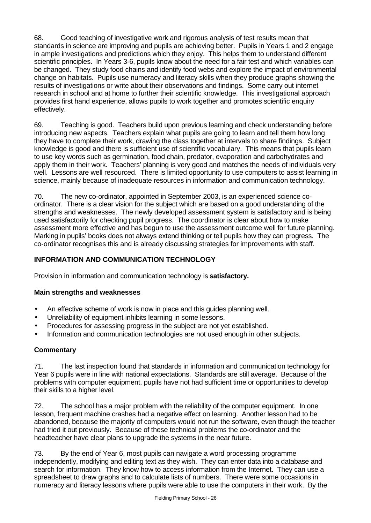68. Good teaching of investigative work and rigorous analysis of test results mean that standards in science are improving and pupils are achieving better. Pupils in Years 1 and 2 engage in ample investigations and predictions which they enjoy. This helps them to understand different scientific principles. In Years 3-6, pupils know about the need for a fair test and which variables can be changed. They study food chains and identify food webs and explore the impact of environmental change on habitats. Pupils use numeracy and literacy skills when they produce graphs showing the results of investigations or write about their observations and findings. Some carry out internet research in school and at home to further their scientific knowledge. This investigational approach provides first hand experience, allows pupils to work together and promotes scientific enquiry effectively.

69. Teaching is good. Teachers build upon previous learning and check understanding before introducing new aspects. Teachers explain what pupils are going to learn and tell them how long they have to complete their work, drawing the class together at intervals to share findings. Subject knowledge is good and there is sufficient use of scientific vocabulary. This means that pupils learn to use key words such as germination, food chain, predator, evaporation and carbohydrates and apply them in their work. Teachers' planning is very good and matches the needs of individuals very well. Lessons are well resourced. There is limited opportunity to use computers to assist learning in science, mainly because of inadequate resources in information and communication technology.

70. The new co-ordinator, appointed in September 2003, is an experienced science coordinator. There is a clear vision for the subject which are based on a good understanding of the strengths and weaknesses. The newly developed assessment system is satisfactory and is being used satisfactorily for checking pupil progress. The coordinator is clear about how to make assessment more effective and has begun to use the assessment outcome well for future planning. Marking in pupils' books does not always extend thinking or tell pupils how they can progress. The co-ordinator recognises this and is already discussing strategies for improvements with staff.

# **INFORMATION AND COMMUNICATION TECHNOLOGY**

Provision in information and communication technology is **satisfactory.**

# **Main strengths and weaknesses**

- An effective scheme of work is now in place and this guides planning well.
- Unreliability of equipment inhibits learning in some lessons.
- Procedures for assessing progress in the subject are not yet established.
- Information and communication technologies are not used enough in other subjects.

# **Commentary**

71. The last inspection found that standards in information and communication technology for Year 6 pupils were in line with national expectations. Standards are still average. Because of the problems with computer equipment, pupils have not had sufficient time or opportunities to develop their skills to a higher level.

72. The school has a major problem with the reliability of the computer equipment. In one lesson, frequent machine crashes had a negative effect on learning. Another lesson had to be abandoned, because the majority of computers would not run the software, even though the teacher had tried it out previously. Because of these technical problems the co-ordinator and the headteacher have clear plans to upgrade the systems in the near future.

73. By the end of Year 6, most pupils can navigate a word processing programme independently, modifying and editing text as they wish. They can enter data into a database and search for information. They know how to access information from the Internet. They can use a spreadsheet to draw graphs and to calculate lists of numbers. There were some occasions in numeracy and literacy lessons where pupils were able to use the computers in their work. By the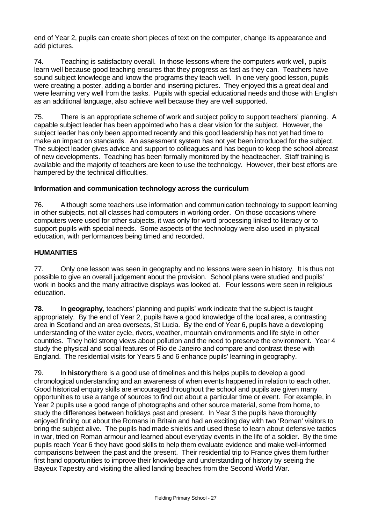end of Year 2, pupils can create short pieces of text on the computer, change its appearance and add pictures.

74. Teaching is satisfactory overall. In those lessons where the computers work well, pupils learn well because good teaching ensures that they progress as fast as they can. Teachers have sound subject knowledge and know the programs they teach well. In one very good lesson, pupils were creating a poster, adding a border and inserting pictures. They enjoyed this a great deal and were learning very well from the tasks. Pupils with special educational needs and those with English as an additional language, also achieve well because they are well supported.

75. There is an appropriate scheme of work and subject policy to support teachers' planning. A capable subject leader has been appointed who has a clear vision for the subject. However, the subject leader has only been appointed recently and this good leadership has not yet had time to make an impact on standards. An assessment system has not yet been introduced for the subject. The subject leader gives advice and support to colleagues and has begun to keep the school abreast of new developments. Teaching has been formally monitored by the headteacher. Staff training is available and the majority of teachers are keen to use the technology. However, their best efforts are hampered by the technical difficulties.

#### **Information and communication technology across the curriculum**

76. Although some teachers use information and communication technology to support learning in other subjects, not all classes had computers in working order. On those occasions where computers were used for other subjects, it was only for word processing linked to literacy or to support pupils with special needs. Some aspects of the technology were also used in physical education, with performances being timed and recorded.

#### **HUMANITIES**

77. Only one lesson was seen in geography and no lessons were seen in history. It is thus not possible to give an overall judgement about the provision. School plans were studied and pupils' work in books and the many attractive displays was looked at. Four lessons were seen in religious education.

**78.** In **geography,** teachers' planning and pupils' work indicate that the subject is taught appropriately. By the end of Year 2, pupils have a good knowledge of the local area, a contrasting area in Scotland and an area overseas, St Lucia. By the end of Year 6, pupils have a developing understanding of the water cycle, rivers, weather, mountain environments and life style in other countries. They hold strong views about pollution and the need to preserve the environment. Year 4 study the physical and social features of Rio de Janeiro and compare and contrast these with England. The residential visits for Years 5 and 6 enhance pupils' learning in geography.

79. In **history** there is a good use of timelines and this helps pupils to develop a good chronological understanding and an awareness of when events happened in relation to each other. Good historical enquiry skills are encouraged throughout the school and pupils are given many opportunities to use a range of sources to find out about a particular time or event. For example, in Year 2 pupils use a good range of photographs and other source material, some from home, to study the differences between holidays past and present. In Year 3 the pupils have thoroughly enjoyed finding out about the Romans in Britain and had an exciting day with two 'Roman' visitors to bring the subject alive. The pupils had made shields and used these to learn about defensive tactics in war, tried on Roman armour and learned about everyday events in the life of a soldier. By the time pupils reach Year 6 they have good skills to help them evaluate evidence and make well-informed comparisons between the past and the present. Their residential trip to France gives them further first hand opportunities to improve their knowledge and understanding of history by seeing the Bayeux Tapestry and visiting the allied landing beaches from the Second World War.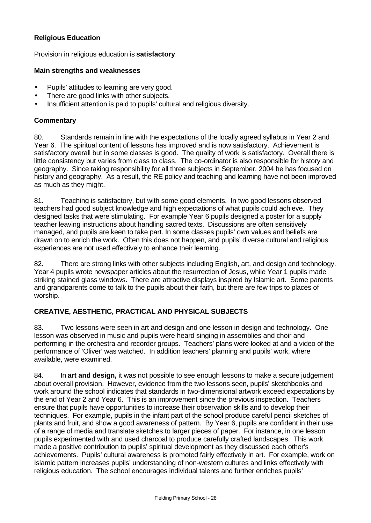#### **Religious Education**

Provision in religious education is **satisfactory**.

#### **Main strengths and weaknesses**

- Pupils' attitudes to learning are very good.
- There are good links with other subjects.
- Insufficient attention is paid to pupils' cultural and religious diversity.

#### **Commentary**

80. Standards remain in line with the expectations of the locally agreed syllabus in Year 2 and Year 6. The spiritual content of lessons has improved and is now satisfactory. Achievement is satisfactory overall but in some classes is good. The quality of work is satisfactory. Overall there is little consistency but varies from class to class. The co-ordinator is also responsible for history and geography. Since taking responsibility for all three subjects in September, 2004 he has focused on history and geography. As a result, the RE policy and teaching and learning have not been improved as much as they might.

81. Teaching is satisfactory, but with some good elements. In two good lessons observed teachers had good subject knowledge and high expectations of what pupils could achieve. They designed tasks that were stimulating. For example Year 6 pupils designed a poster for a supply teacher leaving instructions about handling sacred texts. Discussions are often sensitively managed, and pupils are keen to take part. In some classes pupils' own values and beliefs are drawn on to enrich the work. Often this does not happen, and pupils' diverse cultural and religious experiences are not used effectively to enhance their learning.

82. There are strong links with other subjects including English, art, and design and technology. Year 4 pupils wrote newspaper articles about the resurrection of Jesus, while Year 1 pupils made striking stained glass windows. There are attractive displays inspired by Islamic art. Some parents and grandparents come to talk to the pupils about their faith, but there are few trips to places of worship.

# **CREATIVE, AESTHETIC, PRACTICAL AND PHYSICAL SUBJECTS**

83. Two lessons were seen in art and design and one lesson in design and technology. One lesson was observed in music and pupils were heard singing in assemblies and choir and performing in the orchestra and recorder groups. Teachers' plans were looked at and a video of the performance of 'Oliver' was watched. In addition teachers' planning and pupils' work, where available, were examined.

84. In **art and design,** it was not possible to see enough lessons to make a secure judgement about overall provision. However, evidence from the two lessons seen, pupils' sketchbooks and work around the school indicates that standards in two-dimensional artwork exceed expectations by the end of Year 2 and Year 6. This is an improvement since the previous inspection. Teachers ensure that pupils have opportunities to increase their observation skills and to develop their techniques. For example, pupils in the infant part of the school produce careful pencil sketches of plants and fruit, and show a good awareness of pattern. By Year 6, pupils are confident in their use of a range of media and translate sketches to larger pieces of paper. For instance, in one lesson pupils experimented with and used charcoal to produce carefully crafted landscapes. This work made a positive contribution to pupils' spiritual development as they discussed each other's achievements. Pupils' cultural awareness is promoted fairly effectively in art. For example, work on Islamic pattern increases pupils' understanding of non-western cultures and links effectively with religious education. The school encourages individual talents and further enriches pupils'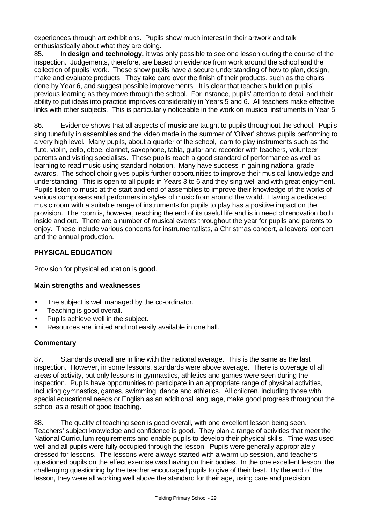experiences through art exhibitions. Pupils show much interest in their artwork and talk enthusiastically about what they are doing.

85. In **design and technology,** it was only possible to see one lesson during the course of the inspection. Judgements, therefore, are based on evidence from work around the school and the collection of pupils' work. These show pupils have a secure understanding of how to plan, design, make and evaluate products. They take care over the finish of their products, such as the chairs done by Year 6, and suggest possible improvements. It is clear that teachers build on pupils' previous learning as they move through the school. For instance, pupils' attention to detail and their ability to put ideas into practice improves considerably in Years 5 and 6. All teachers make effective links with other subjects. This is particularly noticeable in the work on musical instruments in Year 5.

86. Evidence shows that all aspects of **music** are taught to pupils throughout the school. Pupils sing tunefully in assemblies and the video made in the summer of 'Oliver' shows pupils performing to a very high level. Many pupils, about a quarter of the school, learn to play instruments such as the flute, violin, cello, oboe, clarinet, saxophone, tabla, guitar and recorder with teachers, volunteer parents and visiting specialists. These pupils reach a good standard of performance as well as learning to read music using standard notation. Many have success in gaining national grade awards. The school choir gives pupils further opportunities to improve their musical knowledge and understanding. This is open to all pupils in Years 3 to 6 and they sing well and with great enjoyment. Pupils listen to music at the start and end of assemblies to improve their knowledge of the works of various composers and performers in styles of music from around the world. Having a dedicated music room with a suitable range of instruments for pupils to play has a positive impact on the provision. The room is, however, reaching the end of its useful life and is in need of renovation both inside and out. There are a number of musical events throughout the year for pupils and parents to enjoy. These include various concerts for instrumentalists, a Christmas concert, a leavers' concert and the annual production.

# **PHYSICAL EDUCATION**

Provision for physical education is **good**.

#### **Main strengths and weaknesses**

- The subject is well managed by the co-ordinator.
- Teaching is good overall.
- Pupils achieve well in the subject.
- Resources are limited and not easily available in one hall.

#### **Commentary**

87. Standards overall are in line with the national average. This is the same as the last inspection. However, in some lessons, standards were above average. There is coverage of all areas of activity, but only lessons in gymnastics, athletics and games were seen during the inspection. Pupils have opportunities to participate in an appropriate range of physical activities, including gymnastics, games, swimming, dance and athletics. All children, including those with special educational needs or English as an additional language, make good progress throughout the school as a result of good teaching.

88. The quality of teaching seen is good overall, with one excellent lesson being seen. Teachers' subject knowledge and confidence is good. They plan a range of activities that meet the National Curriculum requirements and enable pupils to develop their physical skills. Time was used well and all pupils were fully occupied through the lesson. Pupils were generally appropriately dressed for lessons. The lessons were always started with a warm up session, and teachers questioned pupils on the effect exercise was having on their bodies. In the one excellent lesson, the challenging questioning by the teacher encouraged pupils to give of their best. By the end of the lesson, they were all working well above the standard for their age, using care and precision.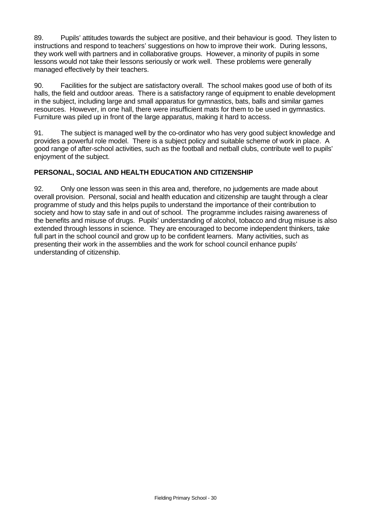89. Pupils' attitudes towards the subject are positive, and their behaviour is good. They listen to instructions and respond to teachers' suggestions on how to improve their work. During lessons, they work well with partners and in collaborative groups. However, a minority of pupils in some lessons would not take their lessons seriously or work well. These problems were generally managed effectively by their teachers.

90. Facilities for the subject are satisfactory overall. The school makes good use of both of its halls, the field and outdoor areas. There is a satisfactory range of equipment to enable development in the subject, including large and small apparatus for gymnastics, bats, balls and similar games resources. However, in one hall, there were insufficient mats for them to be used in gymnastics. Furniture was piled up in front of the large apparatus, making it hard to access.

91. The subject is managed well by the co-ordinator who has very good subject knowledge and provides a powerful role model. There is a subject policy and suitable scheme of work in place. A good range of after-school activities, such as the football and netball clubs, contribute well to pupils' enjoyment of the subject.

#### **PERSONAL, SOCIAL AND HEALTH EDUCATION AND CITIZENSHIP**

92. Only one lesson was seen in this area and, therefore, no judgements are made about overall provision. Personal, social and health education and citizenship are taught through a clear programme of study and this helps pupils to understand the importance of their contribution to society and how to stay safe in and out of school. The programme includes raising awareness of the benefits and misuse of drugs. Pupils' understanding of alcohol, tobacco and drug misuse is also extended through lessons in science. They are encouraged to become independent thinkers, take full part in the school council and grow up to be confident learners. Many activities, such as presenting their work in the assemblies and the work for school council enhance pupils' understanding of citizenship.